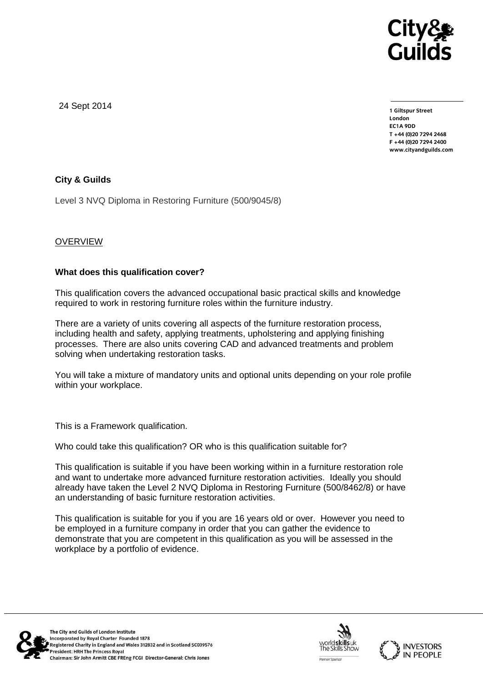

24 Sept 2014

**1 Giltspur Street EC1A 9DD** T +44 (0) 20 7 294 2468 **T +44 (0)20 7294 246[8](http://www.cityandguilds.com/) F +44 (0)20 7294 2400 [www.cityandguilds.com](http://www.cityandguilds.com/)**

# **City & Guilds**

Level 3 NVQ Diploma in Restoring Furniture (500/9045/8)

# **OVERVIEW**

## **What does this qualification cover?**

This qualification covers the advanced occupational basic practical skills and knowledge required to work in restoring furniture roles within the furniture industry.

There are a variety of units covering all aspects of the furniture restoration process, including health and safety, applying treatments, upholstering and applying finishing processes. There are also units covering CAD and advanced treatments and problem solving when undertaking restoration tasks.

You will take a mixture of mandatory units and optional units depending on your role profile within your workplace.

This is a Framework qualification.

Who could take this qualification? OR who is this qualification suitable for?

This qualification is suitable if you have been working within in a furniture restoration role and want to undertake more advanced furniture restoration activities. Ideally you should already have taken the Level 2 NVQ Diploma in Restoring Furniture (500/8462/8) or have an understanding of basic furniture restoration activities.

This qualification is suitable for you if you are 16 years old or over. However you need to be employed in a furniture company in order that you can gather the evidence to demonstrate that you are competent in this qualification as you will be assessed in the workplace by a portfolio of evidence.